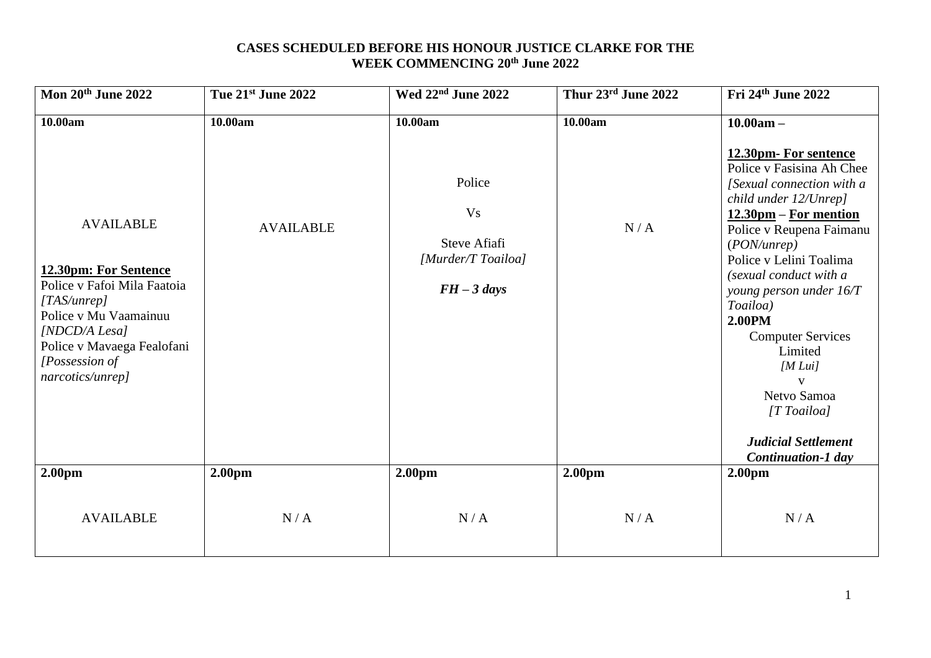# **CASES SCHEDULED BEFORE HIS HONOUR JUSTICE CLARKE FOR THE WEEK COMMENCING 20th June 2022**

| Mon 20th June 2022                                                                                                                                                                                                                          | Tue 21st June 2022                                | Wed 22 <sup>nd</sup> June 2022                                                                               | Thur 23rd June 2022                  | Fri 24th June 2022                                                                                                                                                                                                                                                                                                                                                                                                                                                                    |
|---------------------------------------------------------------------------------------------------------------------------------------------------------------------------------------------------------------------------------------------|---------------------------------------------------|--------------------------------------------------------------------------------------------------------------|--------------------------------------|---------------------------------------------------------------------------------------------------------------------------------------------------------------------------------------------------------------------------------------------------------------------------------------------------------------------------------------------------------------------------------------------------------------------------------------------------------------------------------------|
| 10.00am<br><b>AVAILABLE</b><br>12.30pm: For Sentence<br>Police v Fafoi Mila Faatoia<br>[TAS/unrep]<br>Police v Mu Vaamainuu<br>$[NDCD/A$ Lesa $]$<br>Police v Mavaega Fealofani<br>[Possession of<br>narcotics/unrep]<br>2.00 <sub>pm</sub> | 10.00am<br><b>AVAILABLE</b><br>2.00 <sub>pm</sub> | 10.00am<br>Police<br><b>Vs</b><br>Steve Afiafi<br>[Murder/T Toailoa]<br>$FH-3 \; days$<br>2.00 <sub>pm</sub> | 10.00am<br>N/A<br>2.00 <sub>pm</sub> | $10.00am -$<br>12.30pm- For sentence<br>Police v Fasisina Ah Chee<br>[Sexual connection with a<br>child under 12/Unrep]<br>$12.30 \text{pm} -$ For mention<br>Police v Reupena Faimanu<br>(PON/unrep)<br>Police v Lelini Toalima<br>(sexual conduct with a<br>young person under 16/T<br>Toailoa)<br>2.00PM<br><b>Computer Services</b><br>Limited<br>[M Lui]<br>$\mathbf{V}$<br>Netvo Samoa<br>[T Toailoa]<br><b>Judicial Settlement</b><br>Continuation-1 day<br>2.00 <sub>pm</sub> |
| <b>AVAILABLE</b>                                                                                                                                                                                                                            | N/A                                               | N/A                                                                                                          | N/A                                  | N/A                                                                                                                                                                                                                                                                                                                                                                                                                                                                                   |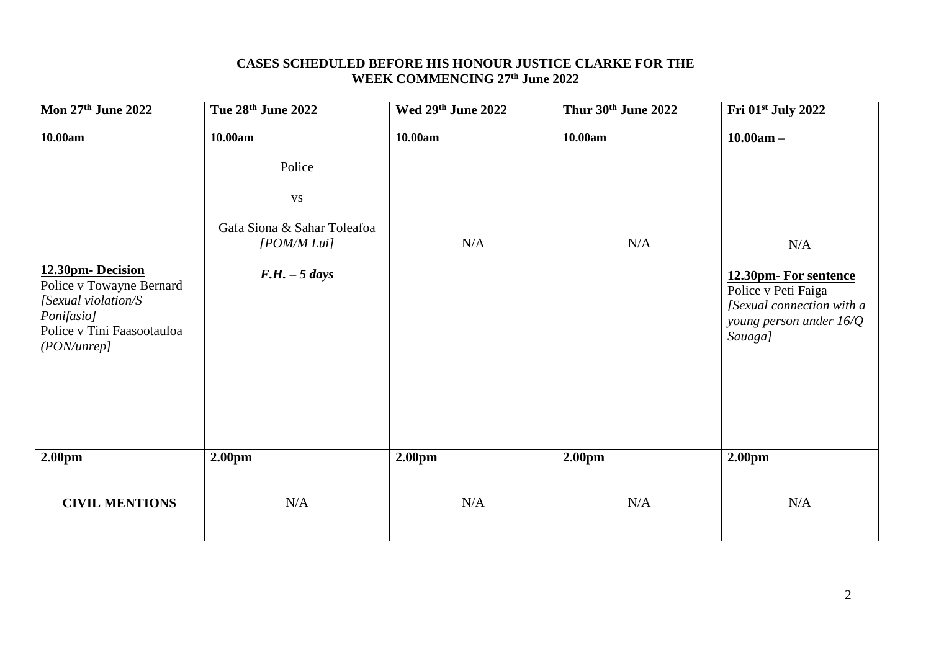# **CASES SCHEDULED BEFORE HIS HONOUR JUSTICE CLARKE FOR THE WEEK COMMENCING 27 th June 2022**

| Mon 27th June 2022                                                                                                                        | Tue 28th June 2022                                                                              | Wed 29th June 2022 | Thur 30th June 2022 | Fri 01 <sup>st</sup> July 2022                                                                                                          |
|-------------------------------------------------------------------------------------------------------------------------------------------|-------------------------------------------------------------------------------------------------|--------------------|---------------------|-----------------------------------------------------------------------------------------------------------------------------------------|
| 10.00am<br>12.30pm-Decision<br>Police v Towayne Bernard<br>[Sexual violation/S<br>Ponifasio]<br>Police v Tini Faasootauloa<br>(PON/unrep] | 10.00am<br>Police<br><b>VS</b><br>Gafa Siona & Sahar Toleafoa<br>[POM/M Lui]<br>$F.H. - 5 days$ | 10.00am<br>N/A     | 10.00am<br>N/A      | $10.00am -$<br>N/A<br>12.30pm- For sentence<br>Police v Peti Faiga<br>[Sexual connection with a<br>young person under $16/Q$<br>Sauaga] |
| 2.00pm                                                                                                                                    | 2.00pm                                                                                          | 2.00pm             | 2.00pm              | 2.00pm                                                                                                                                  |
| <b>CIVIL MENTIONS</b>                                                                                                                     | N/A                                                                                             | N/A                | N/A                 | N/A                                                                                                                                     |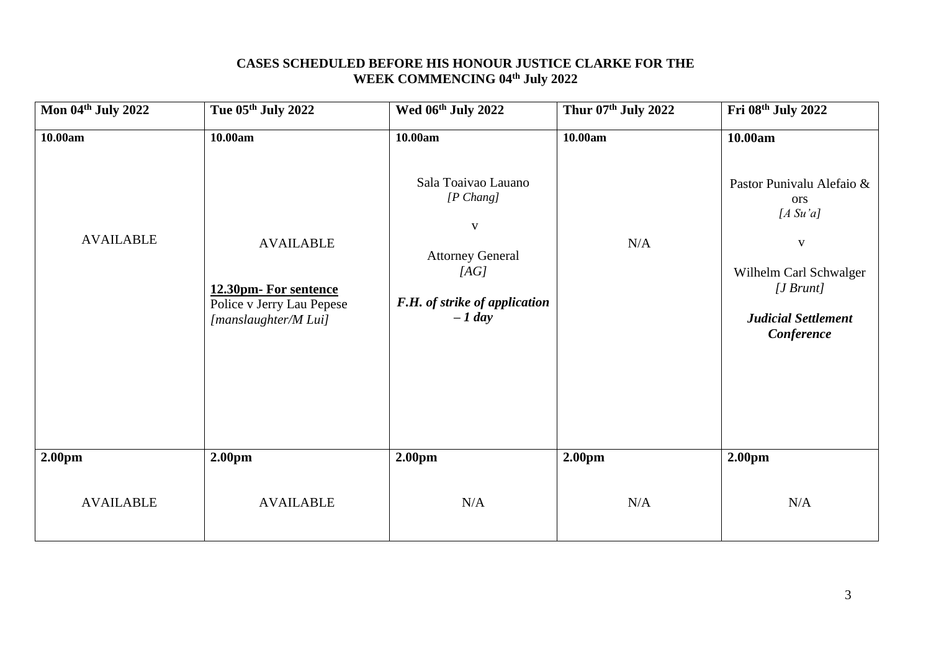# **CASES SCHEDULED BEFORE HIS HONOUR JUSTICE CLARKE FOR THE WEEK COMMENCING 04th July 2022**

| Mon 04th July 2022          | Tue 05th July 2022                                                                                        | Wed 06th July 2022                                                                                                                               | Thur 07th July 2022 | Fri 08th July 2022                                                                                                                                        |
|-----------------------------|-----------------------------------------------------------------------------------------------------------|--------------------------------------------------------------------------------------------------------------------------------------------------|---------------------|-----------------------------------------------------------------------------------------------------------------------------------------------------------|
| 10.00am<br><b>AVAILABLE</b> | 10.00am<br><b>AVAILABLE</b><br>12.30pm- For sentence<br>Police v Jerry Lau Pepese<br>[manslaughter/M Lui] | 10.00am<br>Sala Toaivao Lauano<br>$[P \; Chang]$<br>$\mathbf{V}$<br><b>Attorney General</b><br>[AG]<br>F.H. of strike of application<br>$-1$ day | 10.00am<br>N/A      | 10.00am<br>Pastor Punivalu Alefaio &<br><b>ors</b><br>[A S u'a]<br>V<br>Wilhelm Carl Schwalger<br>[J B run t]<br><b>Judicial Settlement</b><br>Conference |
| 2.00 <sub>pm</sub>          | 2.00 <sub>pm</sub>                                                                                        | 2.00 <sub>pm</sub>                                                                                                                               | 2.00 <sub>pm</sub>  | 2.00 <sub>pm</sub>                                                                                                                                        |
| <b>AVAILABLE</b>            | <b>AVAILABLE</b>                                                                                          | $\rm N/A$                                                                                                                                        | N/A                 | N/A                                                                                                                                                       |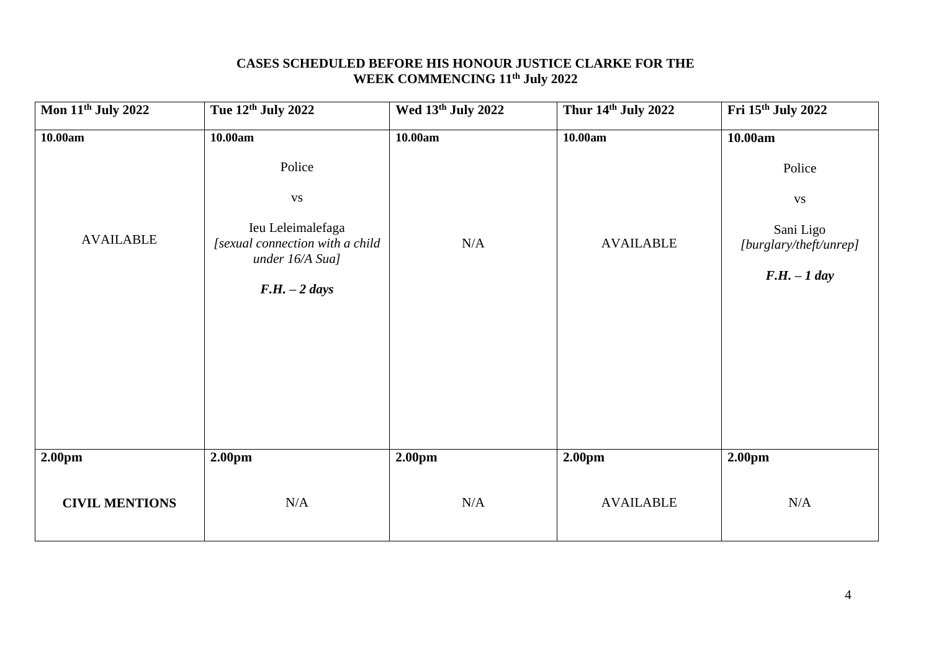# **CASES SCHEDULED BEFORE HIS HONOUR JUSTICE CLARKE FOR THE WEEK COMMENCING 11th July 2022**

| Mon 11 <sup>th</sup> July 2022 | Tue 12th July 2022                                                                                                     | Wed 13th July 2022 | Thur 14th July 2022 | Fri 15th July 2022                                                            |
|--------------------------------|------------------------------------------------------------------------------------------------------------------------|--------------------|---------------------|-------------------------------------------------------------------------------|
| 10.00am                        | 10.00am                                                                                                                | 10.00am            | 10.00am             | 10.00am                                                                       |
| <b>AVAILABLE</b>               | Police<br>$_{\rm VS}$<br>Ieu Leleimalefaga<br>[sexual connection with a child<br>under 16/A Sua]<br>$F.H. - 2 \; days$ | N/A                | <b>AVAILABLE</b>    | Police<br>${\bf VS}$<br>Sani Ligo<br>[burglary/theft/unrep]<br>$F.H. - 1 day$ |
| 2.00pm                         | 2.00pm                                                                                                                 | 2.00pm             | 2.00pm              | 2.00pm                                                                        |
| <b>CIVIL MENTIONS</b>          | N/A                                                                                                                    | $\rm N/A$          | <b>AVAILABLE</b>    | N/A                                                                           |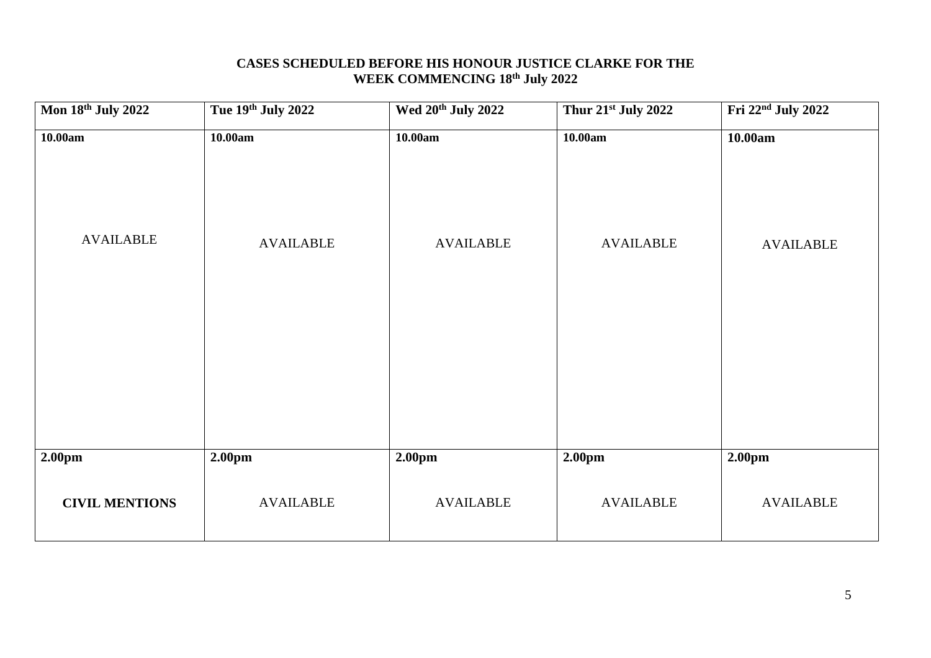# **CASES SCHEDULED BEFORE HIS HONOUR JUSTICE CLARKE FOR THE WEEK COMMENCING 18th July 2022**

| Mon 18th July 2022    | Tue 19th July 2022 | Wed 20 <sup>th</sup> July 2022 | Thur 21st July 2022 | Fri 22 <sup>nd</sup> July 2022 |
|-----------------------|--------------------|--------------------------------|---------------------|--------------------------------|
| 10.00am               | 10.00am            | 10.00am                        | 10.00am             | 10.00am                        |
| <b>AVAILABLE</b>      | <b>AVAILABLE</b>   | <b>AVAILABLE</b>               | <b>AVAILABLE</b>    | <b>AVAILABLE</b>               |
| 2.00pm                | 2.00pm             | 2.00pm                         | 2.00 <sub>pm</sub>  | 2.00pm                         |
| <b>CIVIL MENTIONS</b> | <b>AVAILABLE</b>   | <b>AVAILABLE</b>               | <b>AVAILABLE</b>    | <b>AVAILABLE</b>               |